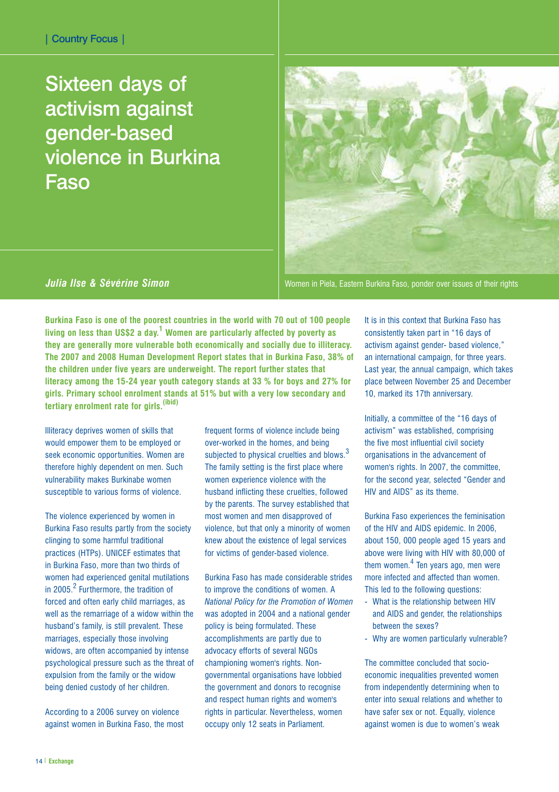## Sixteen days of activism against gender-based violence in Burkina Faso



*Julia Ilse & Sévérine Simon*

Women in Piela, Eastern Burkina Faso, ponder over issues of their rights

**Burkina Faso is one of the poorest countries in the world with 70 out of 100 people living on less than US\$2 a day.<sup>1</sup> Women are particularly affected by poverty as they are generally more vulnerable both economically and socially due to illiteracy. The 2007 and 2008 Human Development Report states that in Burkina Faso, 38% of the children under five years are underweight. The report further states that literacy among the 15-24 year youth category stands at 33 % for boys and 27% for girls. Primary school enrolment stands at 51% but with a very low secondary and tertiary enrolment rate for girls.(ibid)**

Illiteracy deprives women of skills that would empower them to be employed or seek economic opportunities. Women are therefore highly dependent on men. Such vulnerability makes Burkinabe women susceptible to various forms of violence.

The violence experienced by women in Burkina Faso results partly from the society clinging to some harmful traditional practices (HTPs). UNICEF estimates that in Burkina Faso, more than two thirds of women had experienced genital mutilations in 2005.<sup>2</sup> Furthermore, the tradition of forced and often early child marriages, as well as the remarriage of a widow within the husband's family, is still prevalent. These marriages, especially those involving widows, are often accompanied by intense psychological pressure such as the threat of expulsion from the family or the widow being denied custody of her children.

According to a 2006 survey on violence against women in Burkina Faso, the most

frequent forms of violence include being over-worked in the homes, and being subjected to physical cruelties and blows.<sup>3</sup> The family setting is the first place where women experience violence with the husband inflicting these cruelties, followed by the parents. The survey established that most women and men disapproved of violence, but that only a minority of women knew about the existence of legal services for victims of gender-based violence.

Burkina Faso has made considerable strides to improve the conditions of women. A *National Policy for the Promotion of Women* was adopted in 2004 and a national gender policy is being formulated. These accomplishments are partly due to advocacy efforts of several NGOs championing women's rights. Nongovernmental organisations have lobbied the government and donors to recognise and respect human rights and women's rights in particular. Nevertheless, women occupy only 12 seats in Parliament.

It is in this context that Burkina Faso has consistently taken part in "16 days of activism against gender- based violence," an international campaign, for three years. Last year, the annual campaign, which takes place between November 25 and December 10, marked its 17th anniversary.

Initially, a committee of the "16 days of activism" was established, comprising the five most influential civil society organisations in the advancement of women's rights. In 2007, the committee, for the second year, selected "Gender and HIV and AIDS" as its theme.

Burkina Faso experiences the feminisation of the HIV and AIDS epidemic. In 2006, about 150, 000 people aged 15 years and above were living with HIV with 80,000 of them women. $<sup>4</sup>$  Ten years ago, men were</sup> more infected and affected than women. This led to the following questions:

- What is the relationship between HIV and AIDS and gender, the relationships between the sexes?
- Why are women particularly vulnerable?

The committee concluded that socioeconomic inequalities prevented women from independently determining when to enter into sexual relations and whether to have safer sex or not. Equally, violence against women is due to women's weak